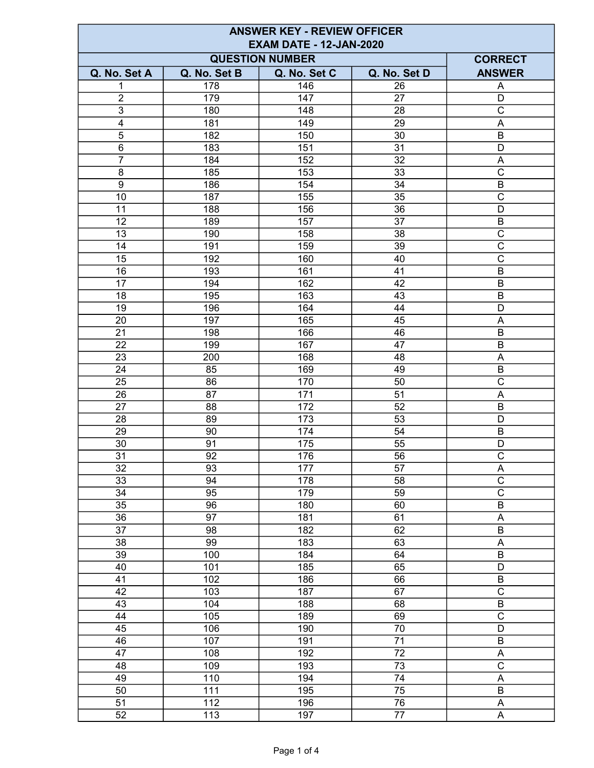| <b>ANSWER KEY - REVIEW OFFICER</b><br><b>EXAM DATE - 12-JAN-2020</b> |                 |              |                 |                         |  |
|----------------------------------------------------------------------|-----------------|--------------|-----------------|-------------------------|--|
| <b>QUESTION NUMBER</b><br><b>CORRECT</b>                             |                 |              |                 |                         |  |
| Q. No. Set A                                                         | Q. No. Set B    | Q. No. Set C | Q. No. Set D    | <b>ANSWER</b>           |  |
| 1                                                                    | 178             | 146          | 26              | A                       |  |
| $\overline{2}$                                                       | 179             | 147          | 27              | D                       |  |
| $\overline{3}$                                                       | 180             | 148          | 28              | $\overline{\text{c}}$   |  |
| $\overline{4}$                                                       | 181             | 149          | 29              | A                       |  |
| 5                                                                    | 182             | 150          | 30              | B                       |  |
| $\,6\,$                                                              | 183             | 151          | 31              | D                       |  |
| $\overline{7}$                                                       | 184             | 152          | 32              | $\mathsf A$             |  |
| 8                                                                    | 185             | 153          | 33              | $\mathsf{C}$            |  |
| $\overline{9}$                                                       | 186             | 154          | 34              | $\sf B$                 |  |
| 10                                                                   | 187             | 155          | $\overline{35}$ | $\overline{\text{c}}$   |  |
| 11                                                                   | 188             | 156          | 36              | $\overline{D}$          |  |
| 12                                                                   | 189             | 157          | 37              | $\overline{\mathsf{B}}$ |  |
| 13                                                                   | 190             | 158          | 38              | $\overline{\text{c}}$   |  |
| 14                                                                   | 191             | 159          | 39              | $\overline{\text{c}}$   |  |
| 15                                                                   | 192             | 160          | 40              | $\overline{C}$          |  |
| 16                                                                   | 193             | 161          | 41              | $\overline{B}$          |  |
| 17                                                                   | 194             | 162          | 42              | $\sf B$                 |  |
| 18                                                                   | 195             | 163          | 43              | $\sf B$                 |  |
| 19                                                                   | 196             | 164          | 44              | D                       |  |
| 20                                                                   | 197             | 165          | 45              | A                       |  |
| 21                                                                   | 198             | 166          | 46              | B                       |  |
| 22                                                                   | 199             | 167          | 47              | B                       |  |
| 23                                                                   | 200             | 168          | 48              | A                       |  |
| 24                                                                   | 85              | 169          | 49              | $\sf B$                 |  |
| 25                                                                   | 86              | 170          | 50              | $\overline{C}$          |  |
| 26                                                                   | 87              | 171          | 51              | A                       |  |
| 27                                                                   | 88              | 172          | 52              | B                       |  |
| 28                                                                   | 89              | 173          | 53              | D                       |  |
| 29                                                                   | 90              | 174          | 54              | B                       |  |
| 30                                                                   | 91              | 175          | 55              | D                       |  |
| 31                                                                   | 92              | <u>176</u>   | 56              | $\mathsf{C}$            |  |
| 32                                                                   | 93              | 177          | 57              | A                       |  |
| 33                                                                   | 94              | 178          | 58              | $\overline{\mathrm{c}}$ |  |
| $\overline{34}$                                                      | 95              | 179          | 59              | $\overline{\text{c}}$   |  |
| $\overline{35}$                                                      | 96              | 180          | 60              | $\overline{B}$          |  |
| $\overline{36}$                                                      | 97              | 181          | 61              | $\overline{A}$          |  |
| $\overline{37}$                                                      | $\overline{98}$ | 182          | 62              | $\overline{B}$          |  |
| 38                                                                   | 99              | 183          | 63              | $\overline{A}$          |  |
| 39                                                                   | 100             | 184          | 64              | $\overline{B}$          |  |
| 40                                                                   | 101             | 185          | 65              | $\overline{D}$          |  |
| 41                                                                   | 102             | 186          | 66              | $\overline{B}$          |  |
| 42                                                                   | 103             | 187          | 67              | $\overline{\text{c}}$   |  |
| 43                                                                   | 104             | 188          | 68              | $\overline{B}$          |  |
| 44                                                                   | 105             | 189          | 69              | $\overline{C}$          |  |
| 45                                                                   | 106             | 190          | $\overline{70}$ | $\overline{D}$          |  |
| $\overline{46}$                                                      | 107             | 191          | $\overline{71}$ | $\overline{B}$          |  |
| 47                                                                   | 108             | 192          | $\overline{72}$ | $\overline{A}$          |  |
| 48                                                                   | 109             | 193          | 73              | $\overline{\mathrm{c}}$ |  |
| 49                                                                   | 110             | 194          | 74              | $\overline{\mathsf{A}}$ |  |
| 50                                                                   | 111             | 195          | 75              | $\overline{B}$          |  |
| 51                                                                   | 112             | 196          | 76              | $\overline{\mathsf{A}}$ |  |
| 52                                                                   | 113             | 197          | 77              | $\overline{A}$          |  |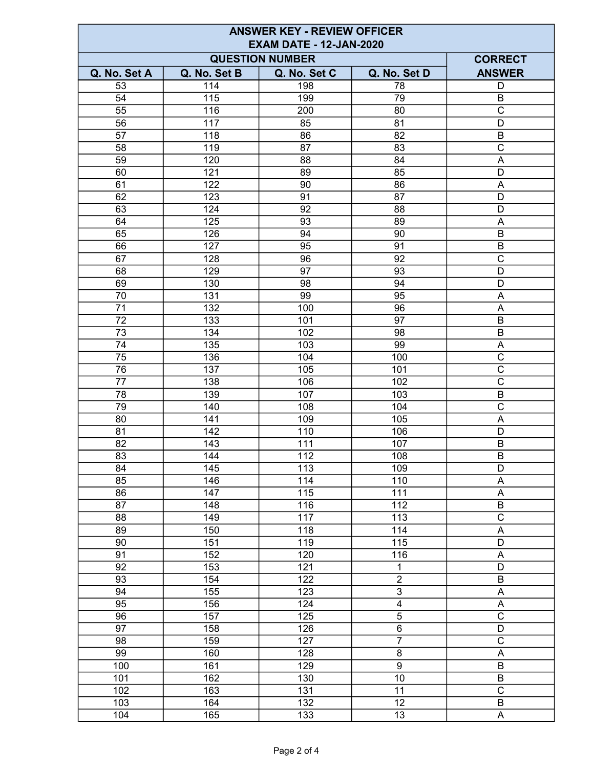| <b>ANSWER KEY - REVIEW OFFICER</b> |              |                        |                |                           |  |
|------------------------------------|--------------|------------------------|----------------|---------------------------|--|
| <b>EXAM DATE - 12-JAN-2020</b>     |              |                        |                |                           |  |
|                                    |              | <b>QUESTION NUMBER</b> |                | <b>CORRECT</b>            |  |
| Q. No. Set A                       | Q. No. Set B | Q. No. Set C           | Q. No. Set D   | <b>ANSWER</b>             |  |
| 53                                 | 114          | 198                    | 78             | D                         |  |
| 54                                 | 115          | 199                    | 79             | B                         |  |
| 55                                 | 116          | 200                    | 80             | $\overline{\text{c}}$     |  |
| 56                                 | 117          | 85                     | 81             | D                         |  |
| 57                                 | 118          | 86                     | 82             | B                         |  |
| 58                                 | 119          | 87                     | 83             | $\mathsf{C}$              |  |
| 59                                 | 120          | 88                     | 84             | A                         |  |
| 60                                 | 121          | 89                     | 85             | D                         |  |
| 61                                 | 122          | 90                     | 86             | A                         |  |
| 62                                 | 123          | 91                     | 87             | D                         |  |
| 63                                 | 124          | 92                     | 88             | D                         |  |
| 64                                 | 125          | 93                     | 89             | $\boldsymbol{\mathsf{A}}$ |  |
| 65                                 | 126          | 94                     | 90             | $\sf B$                   |  |
| 66                                 | 127          | 95                     | 91             | B                         |  |
| 67                                 | 128          | 96                     | 92             | $\mathsf{C}$              |  |
| 68                                 | 129          | 97                     | 93             | D                         |  |
| 69                                 | 130          | 98                     | 94             | D                         |  |
| 70                                 | 131          | 99                     | 95             | $\boldsymbol{\mathsf{A}}$ |  |
| 71                                 | 132          | 100                    | 96             | A                         |  |
| 72                                 | 133          | 101                    | 97             | $\sf B$                   |  |
| $\overline{73}$                    | 134          | 102                    | 98             | $\overline{B}$            |  |
| 74                                 | 135          | 103                    | 99             | A                         |  |
| 75                                 | 136          | 104                    | 100            | $\overline{\text{c}}$     |  |
| 76                                 | 137          | 105                    | 101            | $\overline{C}$            |  |
| 77                                 | 138          | 106                    | 102            | $\overline{\mathrm{c}}$   |  |
| 78                                 | 139          | 107                    | 103            | $\sf B$                   |  |
| 79                                 | 140          | 108                    | 104            | $\overline{\text{c}}$     |  |
| 80                                 | 141          | 109                    | 105            | A                         |  |
| 81                                 | 142          | 110                    | 106            | D                         |  |
| 82                                 | 143          | 111                    | 107            | B                         |  |
| 83                                 | 144          | $11\overline{2}$       | 108            | B                         |  |
| 84                                 | 145          | 113                    | 109            | D                         |  |
| 85                                 | 146          | 114                    | 110            | Α                         |  |
| 86                                 | 147          | 115                    | 111            | $\overline{A}$            |  |
| 87                                 | 148          | 116                    | 112            | $\overline{B}$            |  |
| 88                                 | 149          | 117                    | 113            | $\overline{\text{c}}$     |  |
| 89                                 | 150          | 118                    | 114            | $\overline{\mathsf{A}}$   |  |
| 90                                 | 151          | 119                    | 115            | $\overline{\mathsf{D}}$   |  |
| 91                                 | 152          | 120                    | 116            | $\mathsf A$               |  |
| 92                                 | 153          | 121                    | 1              | D                         |  |
| 93                                 | 154          | 122                    | $\overline{2}$ | $\overline{B}$            |  |
| 94                                 | 155          | 123                    | $\overline{3}$ | A                         |  |
| $\overline{95}$                    | 156          | 124                    | $\overline{4}$ | $\overline{A}$            |  |
| $\overline{96}$                    | 157          | $\overline{125}$       | $\overline{5}$ | $\overline{\text{c}}$     |  |
| 97                                 | 158          | 126                    | $\overline{6}$ | $\overline{D}$            |  |
| 98                                 | 159          | 127                    | $\overline{7}$ | $\overline{\text{c}}$     |  |
| 99                                 | 160          | 128                    | $\overline{8}$ | $\boldsymbol{\mathsf{A}}$ |  |
| 100                                | 161          | 129                    | $\overline{9}$ | $\overline{B}$            |  |
| 101                                | 162          | 130                    | 10             | $\overline{B}$            |  |
| 102                                | 163          | 131                    | 11             | $\overline{\mathrm{c}}$   |  |
| 103                                | 164          | $\overline{132}$       | 12             | $\overline{B}$            |  |
| 104                                | 165          | 133                    | 13             | $\mathsf A$               |  |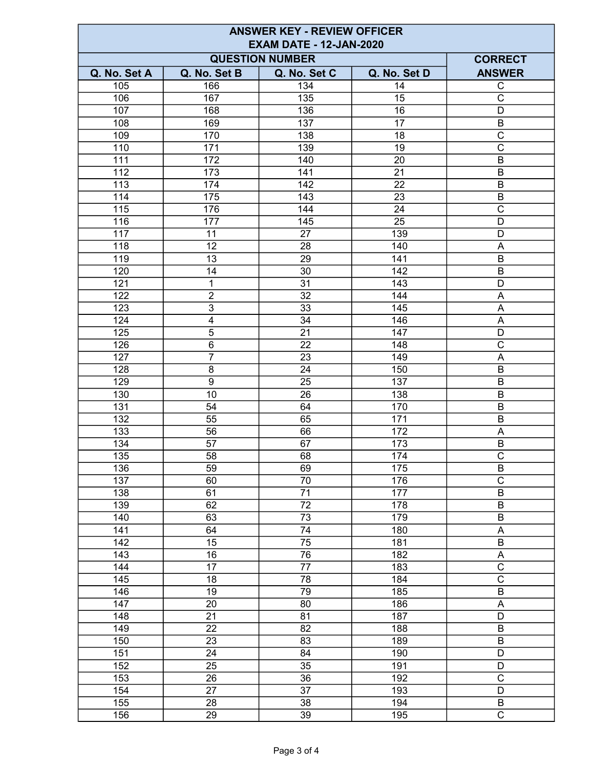| <b>ANSWER KEY - REVIEW OFFICER</b> |                         |                 |              |                           |  |
|------------------------------------|-------------------------|-----------------|--------------|---------------------------|--|
| <b>EXAM DATE - 12-JAN-2020</b>     |                         |                 |              |                           |  |
|                                    | <b>CORRECT</b>          |                 |              |                           |  |
| Q. No. Set A                       | Q. No. Set B            | Q. No. Set C    | Q. No. Set D | <b>ANSWER</b>             |  |
| 105                                | 166                     | 134             | 14           | $\mathsf C$               |  |
| 106                                | 167                     | $\frac{135}{1}$ | 15           | $\overline{\text{c}}$     |  |
| 107                                | 168                     | 136             | 16           | D                         |  |
| 108                                | 169                     | 137             | 17           | B                         |  |
| 109                                | 170                     | 138             | 18           | $\overline{\mathrm{c}}$   |  |
| 110                                | 171                     | 139             | 19           | $\mathsf{C}$              |  |
| 111                                | 172                     | 140             | 20           | $\sf B$                   |  |
| 112                                | 173                     | 141             | 21           | B                         |  |
| 113                                | 174                     | 142             | 22           | $\overline{B}$            |  |
| 114                                | 175                     | 143             | 23           | $\overline{B}$            |  |
| 115                                | 176                     | 144             | 24           | $\overline{\text{c}}$     |  |
| 116                                | 177                     | 145             | 25           | $\overline{D}$            |  |
| 117                                | 11                      | 27              | 139          | D                         |  |
| 118                                | 12                      | 28              | 140          | Α                         |  |
| 119                                | 13                      | 29              | 141          | $\sf B$                   |  |
| 120                                | 14                      | 30              | 142          | B                         |  |
| 121                                | 1                       | 31              | 143          | D                         |  |
| 122                                | $\overline{2}$          | 32              | 144          | $\boldsymbol{\mathsf{A}}$ |  |
| 123                                | $\overline{3}$          | 33              | 145          | A                         |  |
| 124                                | $\overline{\mathbf{4}}$ | 34              | 146          | $\boldsymbol{\mathsf{A}}$ |  |
| 125                                | $\overline{5}$          | $\overline{21}$ | 147          | $\overline{D}$            |  |
| 126                                | $\overline{6}$          | 22              | 148          | $\overline{\text{c}}$     |  |
| 127                                | $\overline{7}$          | 23              | 149          | A                         |  |
| 128                                | 8                       | 24              | 150          | $\overline{B}$            |  |
| 129                                | $9$                     | 25              | 137          | B                         |  |
| 130                                | 10                      | 26              | 138          | B                         |  |
| 131                                | 54                      | 64              | 170          | B                         |  |
| 132                                | 55                      | 65              | 171          | $\sf B$                   |  |
| 133                                | 56                      | 66              | 172          | A                         |  |
| 134                                | 57                      | 67              | 173          | B                         |  |
| 135                                | 58                      | 68              | 174          | $\overline{\mathrm{C}}$   |  |
| 136                                | 59                      | 69              | 175          | B                         |  |
| 137                                | 60                      | 70              | 176          | $\overline{\mathrm{c}}$   |  |
| 138                                | 61                      | $\overline{71}$ | 177          | $\overline{B}$            |  |
| 139                                | 62                      | $\overline{72}$ | 178          | $\overline{B}$            |  |
| 140                                | 63                      | $\overline{73}$ | 179          | $\overline{B}$            |  |
| 141                                | 64                      | $\overline{74}$ | 180          | $\overline{A}$            |  |
| 142                                | 15                      | 75              | 181          | $\sf B$                   |  |
| 143                                | 16                      | 76              | 182          | A                         |  |
| 144                                | 17                      | 77              | 183          | $\overline{\text{c}}$     |  |
| 145                                | 18                      | 78              | 184          | $\overline{C}$            |  |
| 146                                | 19                      | $\overline{79}$ | 185          | $\overline{B}$            |  |
| 147                                | 20                      | 80              | 186          | A                         |  |
| 148                                | $\overline{21}$         | $\overline{81}$ | 187          | $\overline{D}$            |  |
| 149                                | 22                      | $\overline{82}$ | 188          | $\overline{B}$            |  |
| 150                                | $\overline{23}$         | $\overline{83}$ | 189          | $\overline{B}$            |  |
| 151                                | $\overline{24}$         | 84              | 190          | $\overline{D}$            |  |
| 152                                | $\overline{25}$         | $\overline{35}$ | 191          | $\overline{D}$            |  |
| 153                                | 26                      | 36              | 192          | $\overline{\mathrm{c}}$   |  |
| 154                                | 27                      | $\overline{37}$ | 193          | $\overline{D}$            |  |
| 155                                | 28                      | $\overline{38}$ | 194          | $\sf B$                   |  |
| 156                                | 29                      | 39              | 195          | $\overline{\text{c}}$     |  |